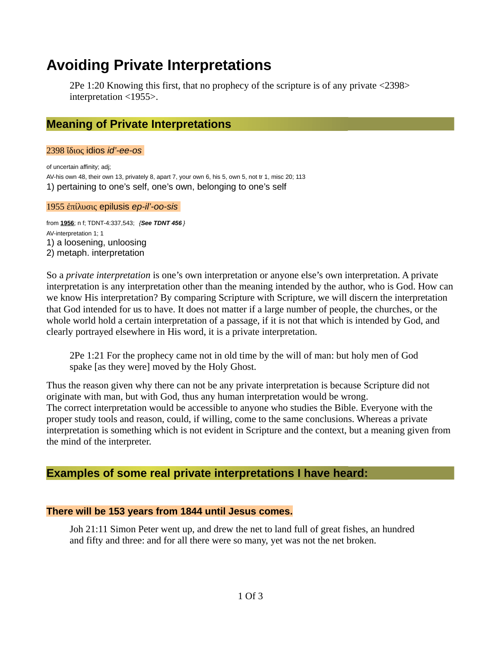# **Avoiding Private Interpretations**

2Pe 1:20 Knowing this first, that no prophecy of the scripture is of any private <2398> interpretation <1955>.

## **Meaning of Private Interpretations**

2398 ἴδιος idios *id'-ee-os*

of uncertain affinity; adj; AV-his own 48, their own 13, privately 8, apart 7, your own 6, his 5, own 5, not tr 1, misc 20; 113 1) pertaining to one's self, one's own, belonging to one's self

#### 1955 ἐπίλυσις epilusis *ep-il'-oo-sis*

from **1956**; n f; TDNT-4:337,543; *{See TDNT 456 }* AV-interpretation 1; 1 1) a loosening, unloosing 2) metaph. interpretation

So a *private interpretation* is one's own interpretation or anyone else's own interpretation. A private interpretation is any interpretation other than the meaning intended by the author, who is God. How can we know His interpretation? By comparing Scripture with Scripture, we will discern the interpretation that God intended for us to have. It does not matter if a large number of people, the churches, or the whole world hold a certain interpretation of a passage, if it is not that which is intended by God, and clearly portrayed elsewhere in His word, it is a private interpretation.

2Pe 1:21 For the prophecy came not in old time by the will of man: but holy men of God spake [as they were] moved by the Holy Ghost.

Thus the reason given why there can not be any private interpretation is because Scripture did not originate with man, but with God, thus any human interpretation would be wrong. The correct interpretation would be accessible to anyone who studies the Bible. Everyone with the proper study tools and reason, could, if willing, come to the same conclusions. Whereas a private interpretation is something which is not evident in Scripture and the context, but a meaning given from the mind of the interpreter.

## **Examples of some real private interpretations I have heard:**

#### **There will be 153 years from 1844 until Jesus comes.**

Joh 21:11 Simon Peter went up, and drew the net to land full of great fishes, an hundred and fifty and three: and for all there were so many, yet was not the net broken.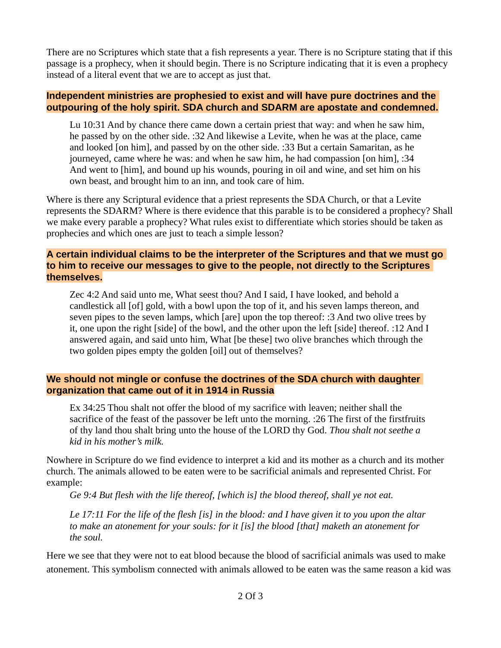There are no Scriptures which state that a fish represents a year. There is no Scripture stating that if this passage is a prophecy, when it should begin. There is no Scripture indicating that it is even a prophecy instead of a literal event that we are to accept as just that.

#### **Independent ministries are prophesied to exist and will have pure doctrines and the outpouring of the holy spirit. SDA church and SDARM are apostate and condemned.**

Lu 10:31 And by chance there came down a certain priest that way: and when he saw him, he passed by on the other side. :32 And likewise a Levite, when he was at the place, came and looked [on him], and passed by on the other side. :33 But a certain Samaritan, as he journeyed, came where he was: and when he saw him, he had compassion [on him], :34 And went to [him], and bound up his wounds, pouring in oil and wine, and set him on his own beast, and brought him to an inn, and took care of him.

Where is there any Scriptural evidence that a priest represents the SDA Church, or that a Levite represents the SDARM? Where is there evidence that this parable is to be considered a prophecy? Shall we make every parable a prophecy? What rules exist to differentiate which stories should be taken as prophecies and which ones are just to teach a simple lesson?

#### **A certain individual claims to be the interpreter of the Scriptures and that we must go to him to receive our messages to give to the people, not directly to the Scriptures themselves.**

Zec 4:2 And said unto me, What seest thou? And I said, I have looked, and behold a candlestick all [of] gold, with a bowl upon the top of it, and his seven lamps thereon, and seven pipes to the seven lamps, which [are] upon the top thereof: :3 And two olive trees by it, one upon the right [side] of the bowl, and the other upon the left [side] thereof. :12 And I answered again, and said unto him, What [be these] two olive branches which through the two golden pipes empty the golden [oil] out of themselves?

#### **We should not mingle or confuse the doctrines of the SDA church with daughter organization that came out of it in 1914 in Russia**

Ex 34:25 Thou shalt not offer the blood of my sacrifice with leaven; neither shall the sacrifice of the feast of the passover be left unto the morning. :26 The first of the firstfruits of thy land thou shalt bring unto the house of the LORD thy God. *Thou shalt not seethe a kid in his mother's milk.*

Nowhere in Scripture do we find evidence to interpret a kid and its mother as a church and its mother church. The animals allowed to be eaten were to be sacrificial animals and represented Christ. For example:

*Ge 9:4 But flesh with the life thereof, [which is] the blood thereof, shall ye not eat.*

*Le 17:11 For the life of the flesh [is] in the blood: and I have given it to you upon the altar to make an atonement for your souls: for it [is] the blood [that] maketh an atonement for the soul.*

Here we see that they were not to eat blood because the blood of sacrificial animals was used to make atonement. This symbolism connected with animals allowed to be eaten was the same reason a kid was